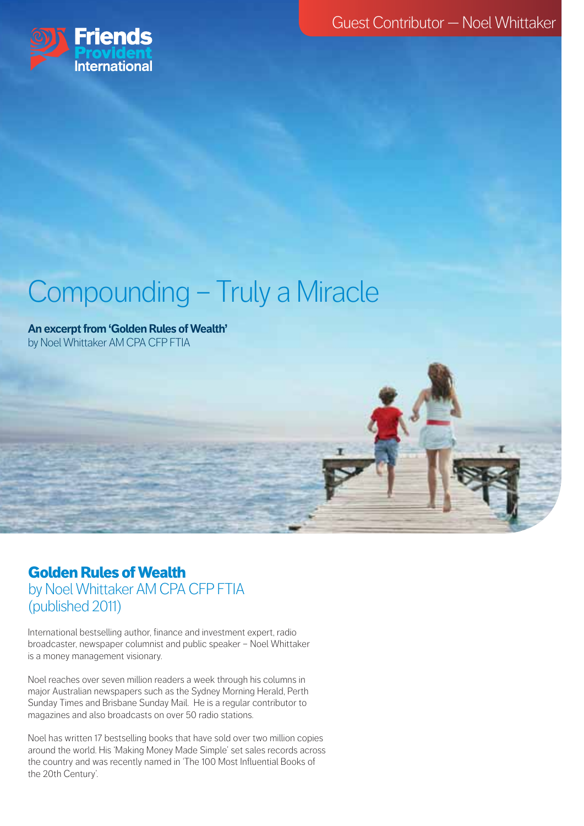Guest Contributor — Noel Whittaker



# Compounding – Truly a Miracle

**An excerpt from 'Golden Rules of Wealth'**  by Noel Whittaker AM CPA CFP FTIA

## Golden Rules of Wealth by Noel Whittaker AM CPA CFP FTIA (published 2011)

International bestselling author, finance and investment expert, radio broadcaster, newspaper columnist and public speaker – Noel Whittaker is a money management visionary.

Noel reaches over seven million readers a week through his columns in major Australian newspapers such as the Sydney Morning Herald, Perth Sunday Times and Brisbane Sunday Mail. He is a regular contributor to magazines and also broadcasts on over 50 radio stations.

Noel has written 17 bestselling books that have sold over two million copies around the world. His 'Making Money Made Simple' set sales records across the country and was recently named in 'The 100 Most Influential Books of the 20th Century'.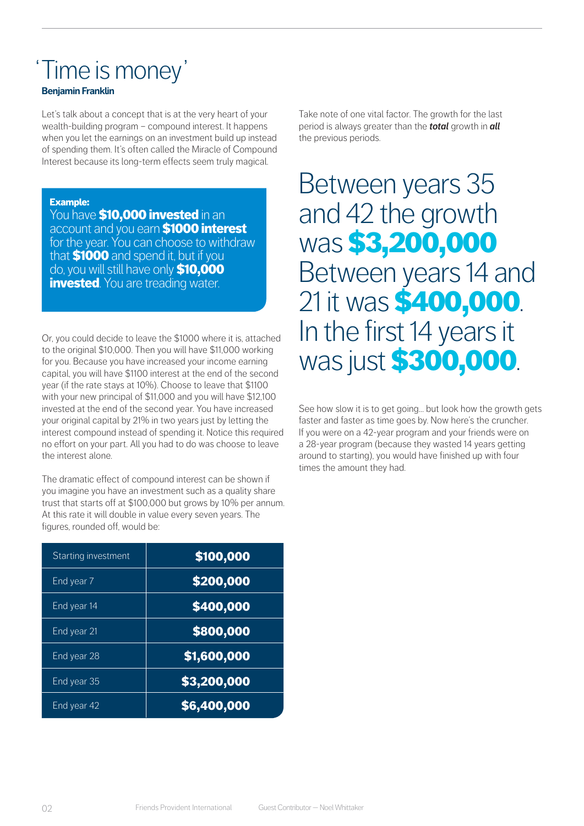## 'Time is money'

#### **Benjamin Franklin**

Let's talk about a concept that is at the very heart of your wealth-building program – compound interest. It happens when you let the earnings on an investment build up instead of spending them. It's often called the Miracle of Compound Interest because its long-term effects seem truly magical.

#### Example:

You have **\$10,000 invested** in an account and you earn \$1000 interest for the year. You can choose to withdraw that **\$1000** and spend it, but if you do, you will still have only **\$10,000 invested**. You are treading water.

Or, you could decide to leave the \$1000 where it is, attached to the original \$10,000. Then you will have \$11,000 working for you. Because you have increased your income earning capital, you will have \$1100 interest at the end of the second year (if the rate stays at 10%). Choose to leave that \$1100 with your new principal of \$11,000 and you will have \$12,100 invested at the end of the second year. You have increased your original capital by 21% in two years just by letting the interest compound instead of spending it. Notice this required no effort on your part. All you had to do was choose to leave the interest alone.

The dramatic effect of compound interest can be shown if you imagine you have an investment such as a quality share trust that starts off at \$100,000 but grows by 10% per annum. At this rate it will double in value every seven years. The figures, rounded off, would be:

| Starting investment    | \$100,000   |
|------------------------|-------------|
| End year 7             | \$200,000   |
| End year 14            | \$400,000   |
| End year <sub>21</sub> | \$800,000   |
| End year 28            | \$1,600,000 |
| End year 35            | \$3,200,000 |
| End year 42            | \$6,400,000 |

Take note of one vital factor. The growth for the last period is always greater than the *total* growth in *all* the previous periods.

# Between years 35 and 42 the growth was \$3,200,000 Between years 14 and 21 it was **\$400,000**.<br>In the first 14 years it was just **\$300,000**.

See how slow it is to get going… but look how the growth gets faster and faster as time goes by. Now here's the cruncher. If you were on a 42-year program and your friends were on a 28-year program (because they wasted 14 years getting around to starting), you would have finished up with four times the amount they had.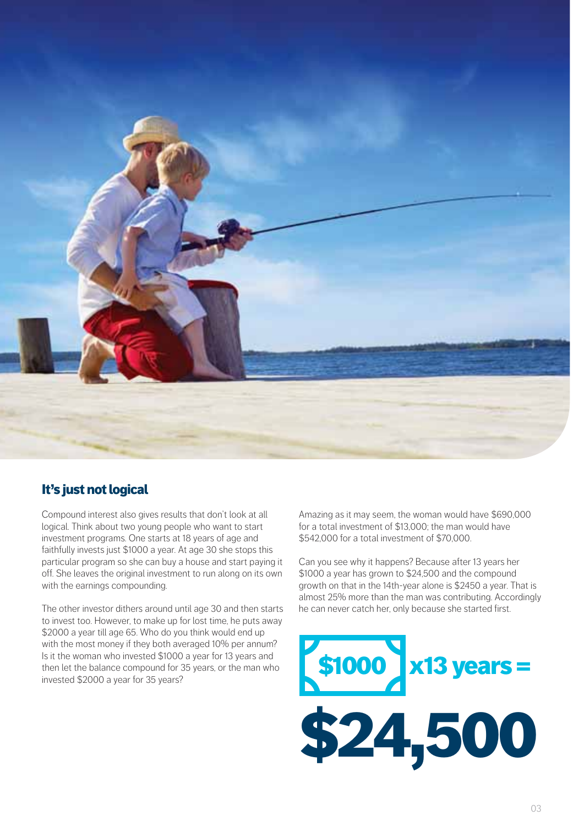

### It's just not logical

Compound interest also gives results that don't look at all logical. Think about two young people who want to start investment programs. One starts at 18 years of age and faithfully invests just \$1000 a year. At age 30 she stops this particular program so she can buy a house and start paying it off. She leaves the original investment to run along on its own with the earnings compounding.

The other investor dithers around until age 30 and then starts to invest too. However, to make up for lost time, he puts away \$2000 a year till age 65. Who do you think would end up with the most money if they both averaged 10% per annum? Is it the woman who invested \$1000 a year for 13 years and then let the balance compound for 35 years, or the man who invested \$2000 a year for 35 years?

Amazing as it may seem, the woman would have \$690,000 for a total investment of \$13,000; the man would have \$542,000 for a total investment of \$70,000.

Can you see why it happens? Because after 13 years her \$1000 a year has grown to \$24,500 and the compound growth on that in the 14th-year alone is \$2450 a year. That is almost 25% more than the man was contributing. Accordingly he can never catch her, only because she started first.